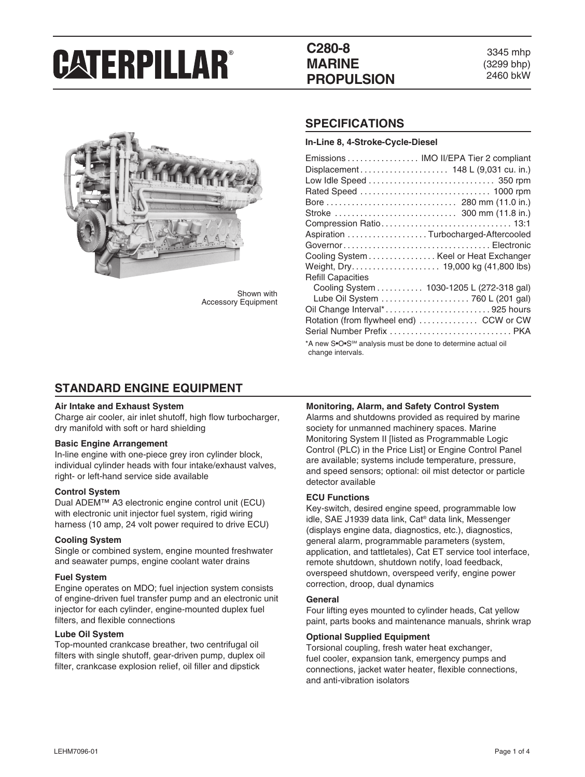# **C280-8 MARINE PROPULSION**

3345 mhp (3299 bhp) 2460 bkW



Shown with Accessory Equipment

### **SPECIFICATIONS**

**In-Line 8, 4-Stroke-Cycle-Diesel**

| Emissions  IMO II/EPA Tier 2 compliant                                                        |  |  |  |
|-----------------------------------------------------------------------------------------------|--|--|--|
| Displacement 148 L (9,031 cu. in.)                                                            |  |  |  |
|                                                                                               |  |  |  |
|                                                                                               |  |  |  |
|                                                                                               |  |  |  |
|                                                                                               |  |  |  |
|                                                                                               |  |  |  |
| Aspiration Turbocharged-Aftercooled                                                           |  |  |  |
|                                                                                               |  |  |  |
| Cooling System Keel or Heat Exchanger                                                         |  |  |  |
|                                                                                               |  |  |  |
| <b>Refill Capacities</b>                                                                      |  |  |  |
| Cooling System 1030-1205 L (272-318 gal)                                                      |  |  |  |
| Lube Oil System  760 L (201 gal)                                                              |  |  |  |
| Oil Change Interval*925 hours                                                                 |  |  |  |
| Rotation (from flywheel end)  CCW or CW                                                       |  |  |  |
|                                                                                               |  |  |  |
| *A new S•O•S <sup>SM</sup> analysis must be done to determine actual oil<br>change intervals. |  |  |  |

### **STANDARD ENGINE EQUIPMENT**

#### **Air Intake and Exhaust System**

Charge air cooler, air inlet shutoff, high flow turbocharger, dry manifold with soft or hard shielding

#### **Basic Engine Arrangement**

In-line engine with one-piece grey iron cylinder block, individual cylinder heads with four intake/exhaust valves, right- or left-hand service side available

#### **Control System**

Dual ADEM™ A3 electronic engine control unit (ECU) with electronic unit injector fuel system, rigid wiring harness (10 amp, 24 volt power required to drive ECU)

#### **Cooling System**

Single or combined system, engine mounted freshwater and seawater pumps, engine coolant water drains

#### **Fuel System**

Engine operates on MDO; fuel injection system consists of engine-driven fuel transfer pump and an electronic unit injector for each cylinder, engine-mounted duplex fuel filters, and flexible connections

#### **Lube Oil System**

Top-mounted crankcase breather, two centrifugal oil filters with single shutoff, gear-driven pump, duplex oil filter, crankcase explosion relief, oil filler and dipstick

#### **Monitoring, Alarm, and Safety Control System**

Alarms and shutdowns provided as required by marine society for unmanned machinery spaces. Marine Monitoring System II [listed as Programmable Logic Control (PLC) in the Price List] or Engine Control Panel are available; systems include temperature, pressure, and speed sensors; optional: oil mist detector or particle detector available

#### **ECU Functions**

Key-switch, desired engine speed, programmable low idle, SAE J1939 data link, Cat® data link, Messenger (displays engine data, diagnostics, etc.), diagnostics, general alarm, programmable parameters (system, application, and tattletales), Cat ET service tool interface, remote shutdown, shutdown notify, load feedback, overspeed shutdown, overspeed verify, engine power correction, droop, dual dynamics

#### **General**

Four lifting eyes mounted to cylinder heads, Cat yellow paint, parts books and maintenance manuals, shrink wrap

#### **Optional Supplied Equipment**

Torsional coupling, fresh water heat exchanger, fuel cooler, expansion tank, emergency pumps and connections, jacket water heater, flexible connections, and anti-vibration isolators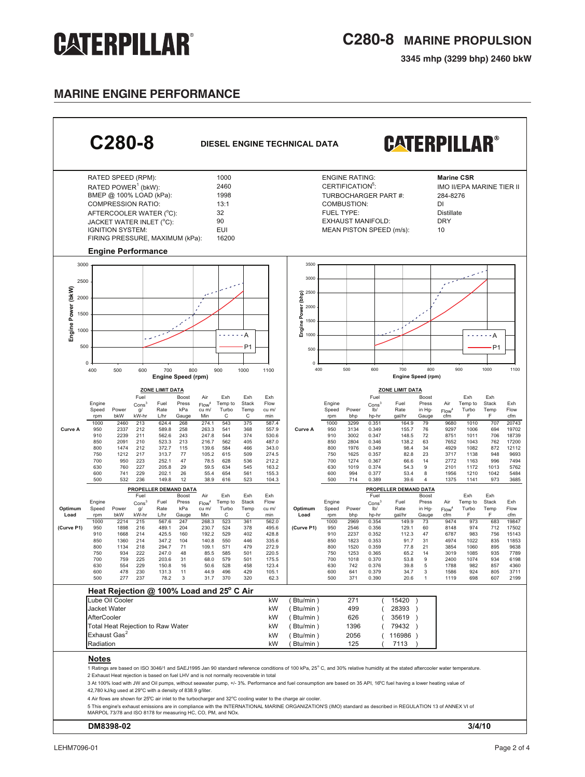**3345 mhp (3299 bhp) 2460 bkW**

### **MARINE ENGINE performance**

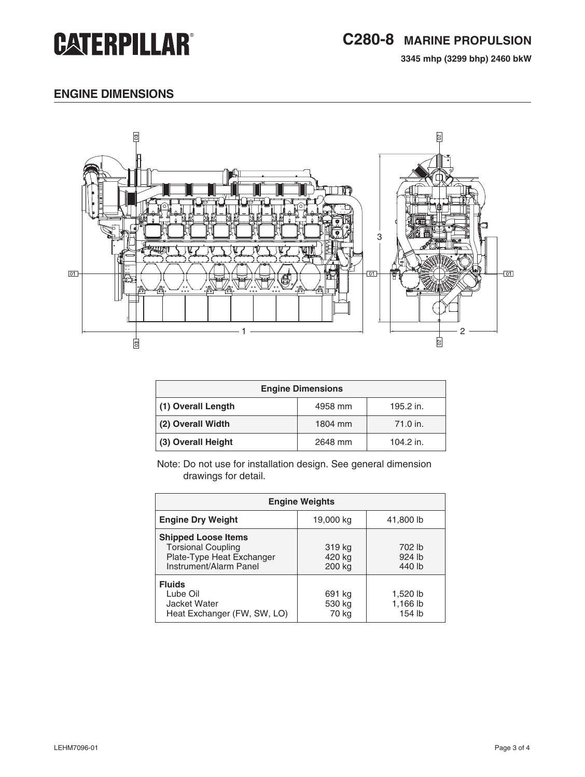**3345 mhp (3299 bhp) 2460 bkW**

# **engine dimensions**



| <b>Engine Dimensions</b> |         |           |  |
|--------------------------|---------|-----------|--|
| (1) Overall Length       | 4958 mm | 195.2 in. |  |
| (2) Overall Width        | 1804 mm | 71.0 in.  |  |
| (3) Overall Height       | 2648 mm | 104.2 in. |  |

Note: Do not use for installation design. See general dimension drawings for detail.

| <b>Engine Weights</b>                                                                                          |                            |                                |  |
|----------------------------------------------------------------------------------------------------------------|----------------------------|--------------------------------|--|
| <b>Engine Dry Weight</b>                                                                                       | 19,000 kg                  | 41,800 lb                      |  |
| <b>Shipped Loose Items</b><br><b>Torsional Coupling</b><br>Plate-Type Heat Exchanger<br>Instrument/Alarm Panel | 319 kg<br>420 kg<br>200 kg | 702 lb<br>924 lb<br>440 lb     |  |
| <b>Fluids</b><br>Lube Oil<br>Jacket Water<br>Heat Exchanger (FW, SW, LO)                                       | 691 kg<br>530 kg<br>70 kg  | 1,520 lb<br>1,166 lb<br>154 lb |  |